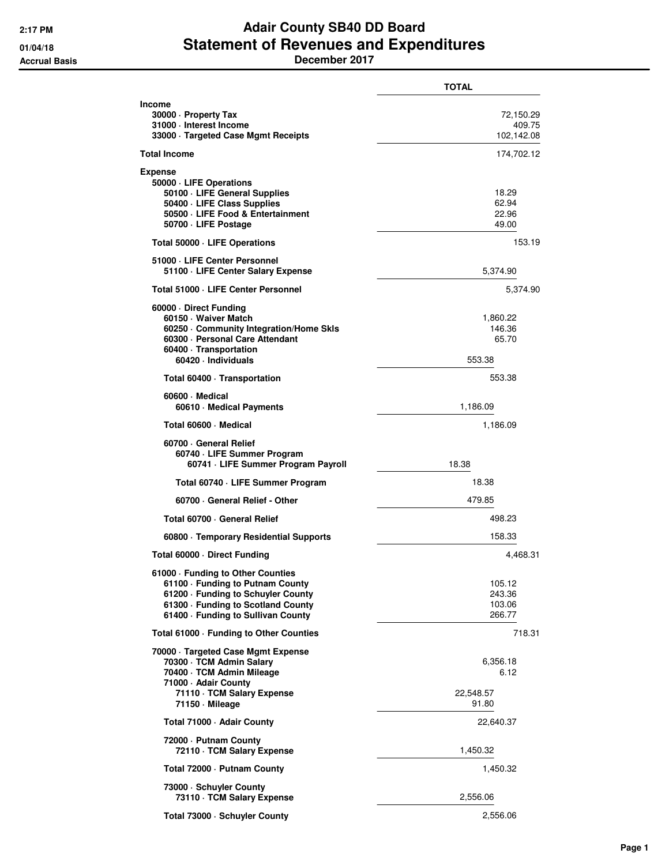## **2:17 PM Adair County SB40 DD Board 01/04/18 Statement of Revenues and Expenditures Accrual Basis December 2017**

**TOTAL Income 30000 · Property Tax** 72,150.29 **31000 · Interest Income** 409.75 **33000 · Targeted Case Mgmt Receipts Total Income** 174,702.12 **Expense 50000 · LIFE Operations 50100 · LIFE General Supplies** 18.29 **50400 · LIFE Class Supplies** 62.94 **50500 · LIFE Food & Entertainment** 22.96 **50700 · LIFE Postage** 49.00 **Total 50000 · LIFE Operations** 153.19 **51000 · LIFE Center Personnel 51100 · LIFE Center Salary Expense** 5,374.90 **Total 51000 · LIFE Center Personnel** 5,374.90 **60000 · Direct Funding 60150 · Waiver Match** 1,860.22 **60250 · Community Integration/Home Skls** 146.36 **60300 · Personal Care Attendant** 65.70 **60400 · Transportation 60420 · Individuals** 553.38 Total 60400 · Transportation **553.38 60600 · Medical 60610 · Medical Payments** 1,186.09 **Total 60600 · Medical** 1,186.09 **60700 · General Relief 60740 · LIFE Summer Program 60741 · LIFE Summer Program Payroll** 18.38 **Total 60740 · LIFE Summer Program** 18.38 **60700 · General Relief - Other** 479.85 **Total 60700 · General Relief All 2008 · All 2009 · All 2009 · All 2009 · All 2009 · All 2009 · All 2009 · All 2009 · All 2009 · All 2009 · All 2009 · All 2009 · All 2009 · All 2009 · All 2009 · All 2009 · All 2009 · All 60800 · Temporary Residential Supports** 158.33 **Total 60000 · Direct Funding 4,468.31 61000 · Funding to Other Counties 61100 · Funding to Putnam County 105.12<br><b>61200 · Funding to Schuyler County 105.12**<br>243.36 **61200 · Funding to Schuyler County 61300 · Funding to Scotland County 103.06 103.06 61400 · Funding to Sullivan County 266.77 Total 61000 · Funding to Other Counties** 718.31 **70000 · Targeted Case Mgmt Expense 70300 · TCM Admin Salary 6,356.18**<br>**70400 · TCM Admin Mileage** 6.12 70400 · TCM Admin Mileage **71000 · Adair County 71110 · TCM Salary Expense** 22,548.57 **71150 · Mileage** 91.80 **Total 71000 · Adair County** 22,640.37 **72000 · Putnam County 72110 · TCM Salary Expense** 1,450.32 **Total 72000 · Putnam County** 1,450.32 **73000 · Schuyler County 73110 · TCM Salary Expense** 2,556.06 **Total 73000 · Schuyler County** 2,556.06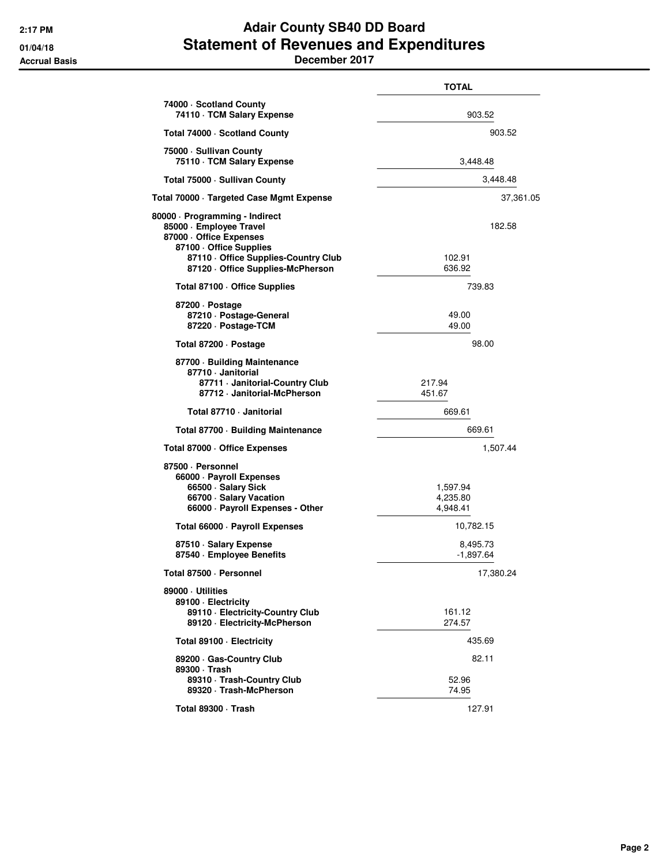## **2:17 PM Adair County SB40 DD Board 01/04/18 Statement of Revenues and Expenditures Accrual Basis December 2017**

**TOTAL 74000 · Scotland County 74110 · TCM Salary Expense** 903.52 **Total 74000 · Scotland County 903.52 75000 · Sullivan County 75110 · TCM Salary Expense** 3,448.48 **Total 75000 · Sullivan County** 3,448.48 **Total 70000 · Targeted Case Mgmt Expense** 37,361.05 **80000 · Programming - Indirect 85000 · Employee Travel** 182.58 **87000 · Office Expenses 87100 · Office Supplies 87110 · Office Supplies-Country Club** 102.91<br>102.91 **Contract Supplies-McPherson** 87120 · Office Supplies-McPherson Total 87100 · Office Supplies 739.83 **87200 · Postage 87210 · Postage-General** 49.00 87220 · Postage-TCM **Total 87200 · Postage 98.00 87700 · Building Maintenance 87710 · Janitorial 87711 · Janitorial-Country Club** 217.94 **87712 · Janitorial-McPherson** 451.67 **Total 87710 · Janitorial 669.61 Total 87700 · Building Maintenance** 669.61 **Total 87000 · Office Expenses** 1,507.44 **87500 · Personnel 66000 · Payroll Expenses 66500 · Salary Sick 1,597.94**<br>**66700 · Salary Vacation 1,597.94** 1,597.94 **66700 · Salary Vacation 66000 · Payroll Expenses - Other 4,948.41 Total 66000 · Payroll Expenses** 10,782.15 **87510 · Salary Expense** 8,495.73<br>**87540 · Employee Benefits** 8,495.73 87540 · Employee Benefits **Total 87500 · Personnel** 17,380.24 **89000 · Utilities 89100 · Electricity 89110 · Electricity-Country Club** 161.12 **89120 · Electricity-McPherson** 274.57 **Total 89100 · Electricity** 435.69 **89200 · Gas-Country Club** 82.11 **89300 · Trash 89310 · Trash-Country Club** 52.96<br>**89320 · Trash-McPherson** 52.96 **52.96** 89320 · Trash-McPherson **Total 89300 · Trash** 127.91